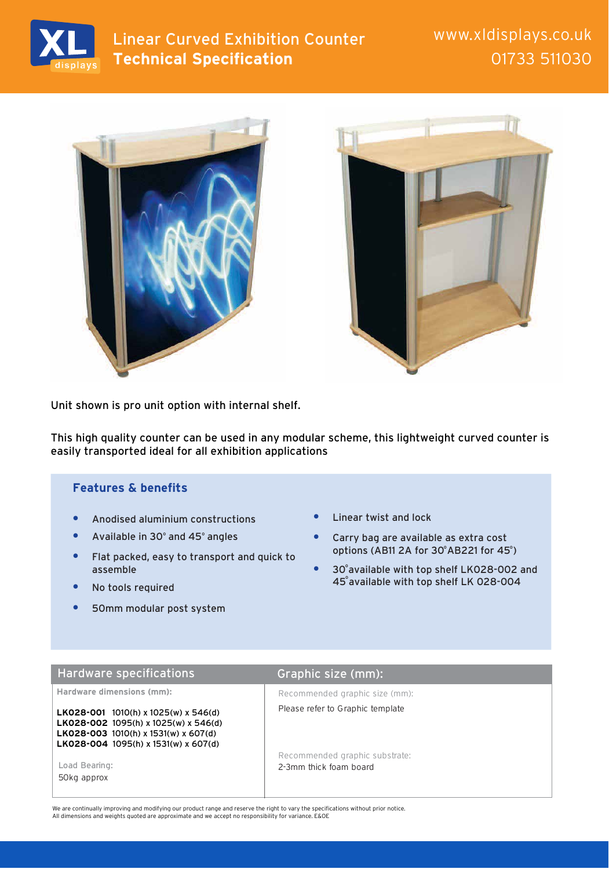

# Linear Curved Exhibition Counter Manus Munder Worker **Technical Specification**

01733 511030





Unit shown is pro unit option with internal shelf.

This high quality counter can be used in any modular scheme, this lightweight curved counter is easily transported ideal for all exhibition applications

### **Features & benefits**

- **•** Anodised aluminium constructions
- Available in 30° and 45° angles
- **•** Flat packed, easy to transport and quick to assemble
- **•** No tools required
- **•** 50mm modular post system
- **•** Linear twist and lock
- **•** Carry bag are available as extra cost options (AB11 2A for 30°AB221 for 45°)
- 30° available with top shelf LK028-002 and 45° available with top shelf LK 028-004

## Hardware specifications Graphic size (mm):

**Hardware dimensions (mm):**

**LK028-001** 1010(h) x 1025(w) x 546(d) **LK028-002** 1095(h) x 1025(w) x 546(d) **LK028-003** 1010(h) x 1531(w) x 607(d) **LK028-004** 1095(h) x 1531(w) x 607(d)

50kg approx

Recommended graphic size (mm):

Please refer to Graphic template

Recommended graphic substrate: Load Bearing: Notifiantly a state of the 2-3mm thick foam board

We are continually improving and modifying our product range and reserve the right to vary the specifications without prior notice. All dimensions and weights quoted are approximate and we accept no responsibility for variance. E&OE